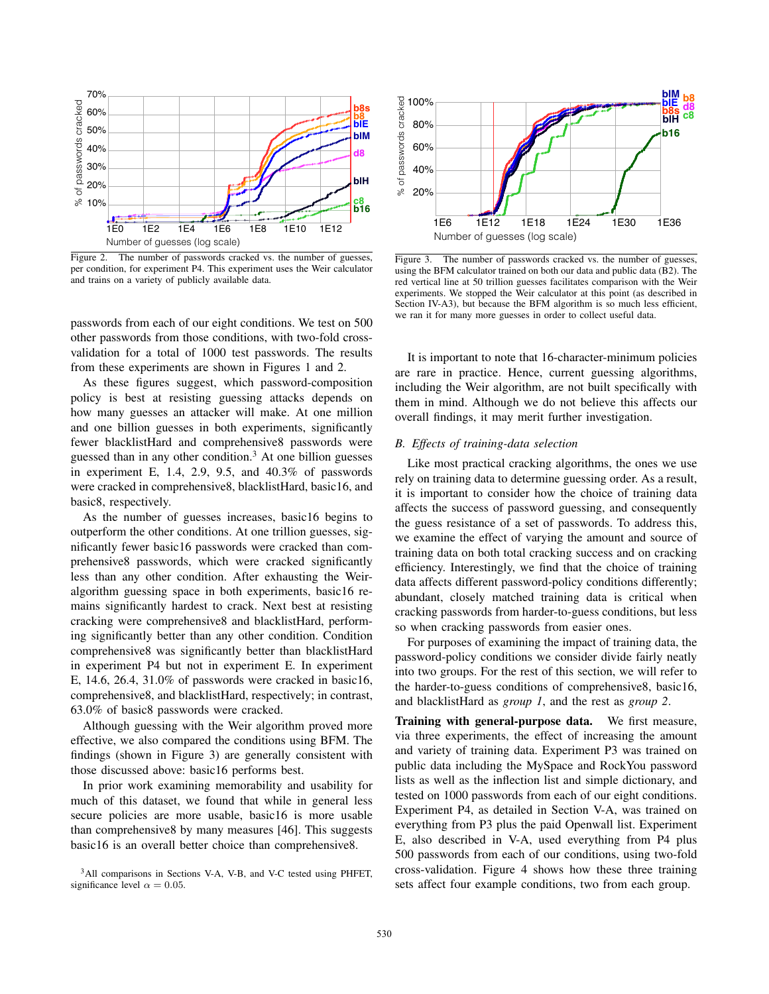

Figure 2. The number of passwords cracked vs. the number of guesses, per condition, for experiment P4. This experiment uses the Weir calculator and trains on a variety of publicly available data.

passwords from each of our eight conditions. We test on 500 other passwords from those conditions, with two-fold crossvalidation for a total of 1000 test passwords. The results from these experiments are shown in Figures 1 and 2.

As these figures suggest, which password-composition policy is best at resisting guessing attacks depends on how many guesses an attacker will make. At one million and one billion guesses in both experiments, significantly fewer blacklistHard and comprehensive8 passwords were guessed than in any other condition.<sup>3</sup> At one billion guesses in experiment E, 1.4, 2.9, 9.5, and 40.3% of passwords were cracked in comprehensive8, blacklistHard, basic16, and basic8, respectively.

As the number of guesses increases, basic16 begins to outperform the other conditions. At one trillion guesses, significantly fewer basic16 passwords were cracked than comprehensive8 passwords, which were cracked significantly less than any other condition. After exhausting the Weiralgorithm guessing space in both experiments, basic16 remains significantly hardest to crack. Next best at resisting cracking were comprehensive8 and blacklistHard, performing significantly better than any other condition. Condition comprehensive8 was significantly better than blacklistHard in experiment P4 but not in experiment E. In experiment E, 14.6, 26.4, 31.0% of passwords were cracked in basic16, comprehensive8, and blacklistHard, respectively; in contrast, 63.0% of basic8 passwords were cracked.

Although guessing with the Weir algorithm proved more effective, we also compared the conditions using BFM. The findings (shown in Figure 3) are generally consistent with those discussed above: basic16 performs best.

In prior work examining memorability and usability for much of this dataset, we found that while in general less secure policies are more usable, basic16 is more usable than comprehensive8 by many measures [46]. This suggests basic16 is an overall better choice than comprehensive8.



Figure 3. The number of passwords cracked vs. the number of guesses, using the BFM calculator trained on both our data and public data (B2). The red vertical line at 50 trillion guesses facilitates comparison with the Weir experiments. We stopped the Weir calculator at this point (as described in Section IV-A3), but because the BFM algorithm is so much less efficient, we ran it for many more guesses in order to collect useful data.

It is important to note that 16-character-minimum policies are rare in practice. Hence, current guessing algorithms, including the Weir algorithm, are not built specifically with them in mind. Although we do not believe this affects our overall findings, it may merit further investigation.

#### *B. Effects of training-data selection*

Like most practical cracking algorithms, the ones we use rely on training data to determine guessing order. As a result, it is important to consider how the choice of training data affects the success of password guessing, and consequently the guess resistance of a set of passwords. To address this, we examine the effect of varying the amount and source of training data on both total cracking success and on cracking efficiency. Interestingly, we find that the choice of training data affects different password-policy conditions differently; abundant, closely matched training data is critical when cracking passwords from harder-to-guess conditions, but less so when cracking passwords from easier ones.

For purposes of examining the impact of training data, the password-policy conditions we consider divide fairly neatly into two groups. For the rest of this section, we will refer to the harder-to-guess conditions of comprehensive8, basic16, and blacklistHard as *group 1*, and the rest as *group 2*.

Training with general-purpose data. We first measure, via three experiments, the effect of increasing the amount and variety of training data. Experiment P3 was trained on public data including the MySpace and RockYou password lists as well as the inflection list and simple dictionary, and tested on 1000 passwords from each of our eight conditions. Experiment P4, as detailed in Section V-A, was trained on everything from P3 plus the paid Openwall list. Experiment E, also described in V-A, used everything from P4 plus 500 passwords from each of our conditions, using two-fold cross-validation. Figure 4 shows how these three training sets affect four example conditions, two from each group.

<sup>3</sup>All comparisons in Sections V-A, V-B, and V-C tested using PHFET, significance level  $\alpha = 0.05$ .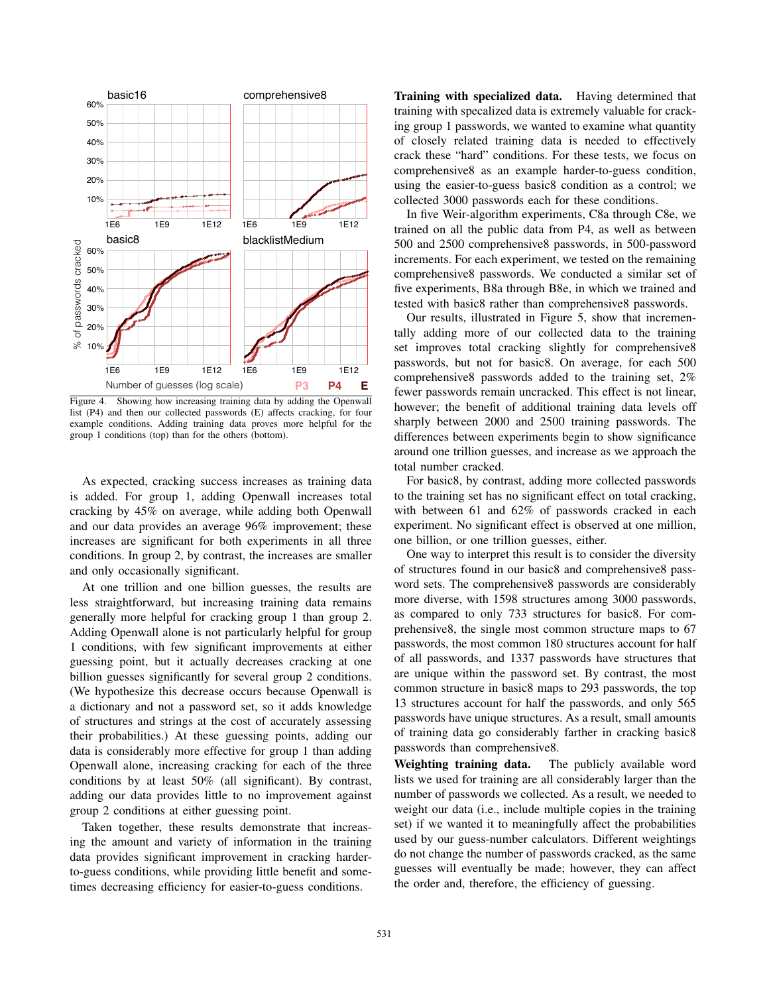

Figure 4. Showing how increasing training data by adding the Openwall list (P4) and then our collected passwords (E) affects cracking, for four example conditions. Adding training data proves more helpful for the group 1 conditions (top) than for the others (bottom).

As expected, cracking success increases as training data is added. For group 1, adding Openwall increases total cracking by 45% on average, while adding both Openwall and our data provides an average 96% improvement; these increases are significant for both experiments in all three conditions. In group 2, by contrast, the increases are smaller and only occasionally significant.

At one trillion and one billion guesses, the results are less straightforward, but increasing training data remains generally more helpful for cracking group 1 than group 2. Adding Openwall alone is not particularly helpful for group 1 conditions, with few significant improvements at either guessing point, but it actually decreases cracking at one billion guesses significantly for several group 2 conditions. (We hypothesize this decrease occurs because Openwall is a dictionary and not a password set, so it adds knowledge of structures and strings at the cost of accurately assessing their probabilities.) At these guessing points, adding our data is considerably more effective for group 1 than adding Openwall alone, increasing cracking for each of the three conditions by at least 50% (all significant). By contrast, adding our data provides little to no improvement against group 2 conditions at either guessing point.

Taken together, these results demonstrate that increasing the amount and variety of information in the training data provides significant improvement in cracking harderto-guess conditions, while providing little benefit and sometimes decreasing efficiency for easier-to-guess conditions.

Training with specialized data. Having determined that training with specalized data is extremely valuable for cracking group 1 passwords, we wanted to examine what quantity of closely related training data is needed to effectively crack these "hard" conditions. For these tests, we focus on comprehensive8 as an example harder-to-guess condition, using the easier-to-guess basic8 condition as a control; we collected 3000 passwords each for these conditions.

In five Weir-algorithm experiments, C8a through C8e, we trained on all the public data from P4, as well as between 500 and 2500 comprehensive8 passwords, in 500-password increments. For each experiment, we tested on the remaining comprehensive8 passwords. We conducted a similar set of five experiments, B8a through B8e, in which we trained and tested with basic8 rather than comprehensive8 passwords.

Our results, illustrated in Figure 5, show that incrementally adding more of our collected data to the training set improves total cracking slightly for comprehensive8 passwords, but not for basic8. On average, for each 500 comprehensive8 passwords added to the training set, 2% fewer passwords remain uncracked. This effect is not linear, however; the benefit of additional training data levels off sharply between 2000 and 2500 training passwords. The differences between experiments begin to show significance around one trillion guesses, and increase as we approach the total number cracked.

For basic8, by contrast, adding more collected passwords to the training set has no significant effect on total cracking, with between 61 and 62% of passwords cracked in each experiment. No significant effect is observed at one million, one billion, or one trillion guesses, either.

One way to interpret this result is to consider the diversity of structures found in our basic8 and comprehensive8 password sets. The comprehensive8 passwords are considerably more diverse, with 1598 structures among 3000 passwords, as compared to only 733 structures for basic8. For comprehensive8, the single most common structure maps to 67 passwords, the most common 180 structures account for half of all passwords, and 1337 passwords have structures that are unique within the password set. By contrast, the most common structure in basic8 maps to 293 passwords, the top 13 structures account for half the passwords, and only 565 passwords have unique structures. As a result, small amounts of training data go considerably farther in cracking basic8 passwords than comprehensive8.

Weighting training data. The publicly available word lists we used for training are all considerably larger than the number of passwords we collected. As a result, we needed to weight our data (i.e., include multiple copies in the training set) if we wanted it to meaningfully affect the probabilities used by our guess-number calculators. Different weightings do not change the number of passwords cracked, as the same guesses will eventually be made; however, they can affect the order and, therefore, the efficiency of guessing.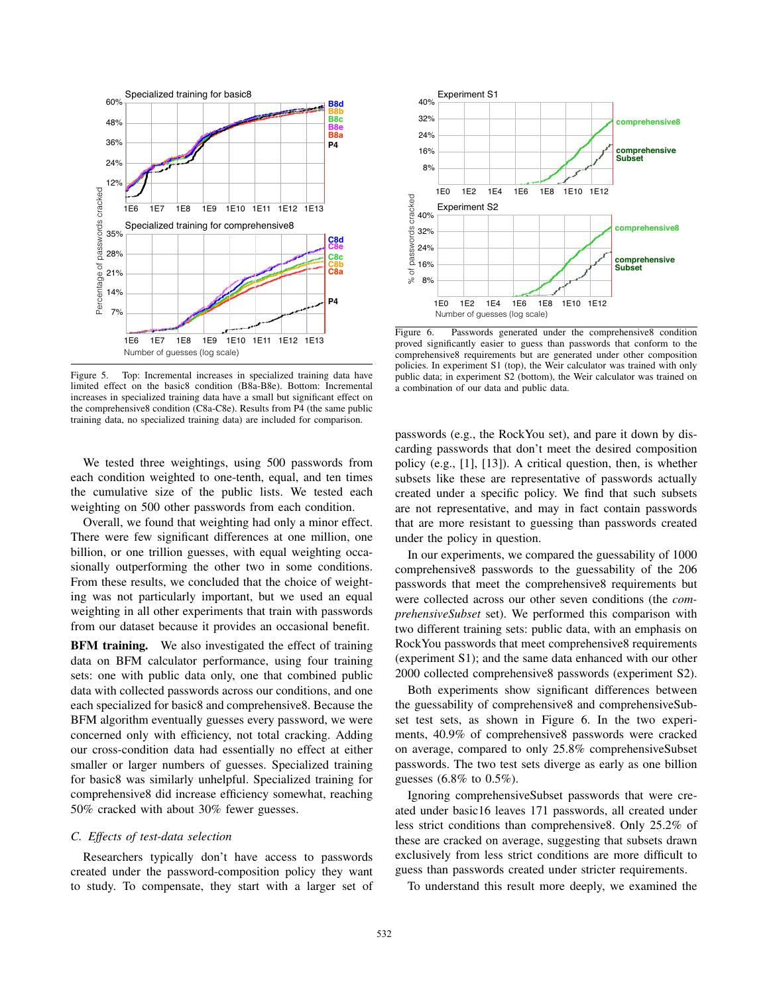

Figure 5. Top: Incremental increases in specialized training data have limited effect on the basic8 condition (B8a-B8e). Bottom: Incremental increases in specialized training data have a small but significant effect on the comprehensive8 condition (C8a-C8e). Results from P4 (the same public training data, no specialized training data) are included for comparison.

We tested three weightings, using 500 passwords from each condition weighted to one-tenth, equal, and ten times the cumulative size of the public lists. We tested each weighting on 500 other passwords from each condition.

Overall, we found that weighting had only a minor effect. There were few significant differences at one million, one billion, or one trillion guesses, with equal weighting occasionally outperforming the other two in some conditions. From these results, we concluded that the choice of weighting was not particularly important, but we used an equal weighting in all other experiments that train with passwords from our dataset because it provides an occasional benefit.

**BFM training.** We also investigated the effect of training data on BFM calculator performance, using four training sets: one with public data only, one that combined public data with collected passwords across our conditions, and one each specialized for basic8 and comprehensive8. Because the BFM algorithm eventually guesses every password, we were concerned only with efficiency, not total cracking. Adding our cross-condition data had essentially no effect at either smaller or larger numbers of guesses. Specialized training for basic8 was similarly unhelpful. Specialized training for comprehensive8 did increase efficiency somewhat, reaching 50% cracked with about 30% fewer guesses.

#### *C. Effects of test-data selection*

Researchers typically don't have access to passwords created under the password-composition policy they want to study. To compensate, they start with a larger set of



Figure 6. Passwords generated under the comprehensive8 condition proved significantly easier to guess than passwords that conform to the comprehensive8 requirements but are generated under other composition policies. In experiment S1 (top), the Weir calculator was trained with only public data; in experiment S2 (bottom), the Weir calculator was trained on a combination of our data and public data.

passwords (e.g., the RockYou set), and pare it down by discarding passwords that don't meet the desired composition policy (e.g., [1], [13]). A critical question, then, is whether subsets like these are representative of passwords actually created under a specific policy. We find that such subsets are not representative, and may in fact contain passwords that are more resistant to guessing than passwords created under the policy in question.

In our experiments, we compared the guessability of 1000 comprehensive8 passwords to the guessability of the 206 passwords that meet the comprehensive8 requirements but were collected across our other seven conditions (the *comprehensiveSubset* set). We performed this comparison with two different training sets: public data, with an emphasis on RockYou passwords that meet comprehensive8 requirements (experiment S1); and the same data enhanced with our other 2000 collected comprehensive8 passwords (experiment S2).

Both experiments show significant differences between the guessability of comprehensive8 and comprehensiveSubset test sets, as shown in Figure 6. In the two experiments, 40.9% of comprehensive8 passwords were cracked on average, compared to only 25.8% comprehensiveSubset passwords. The two test sets diverge as early as one billion guesses (6.8% to 0.5%).

Ignoring comprehensiveSubset passwords that were created under basic16 leaves 171 passwords, all created under less strict conditions than comprehensive8. Only 25.2% of these are cracked on average, suggesting that subsets drawn exclusively from less strict conditions are more difficult to guess than passwords created under stricter requirements.

To understand this result more deeply, we examined the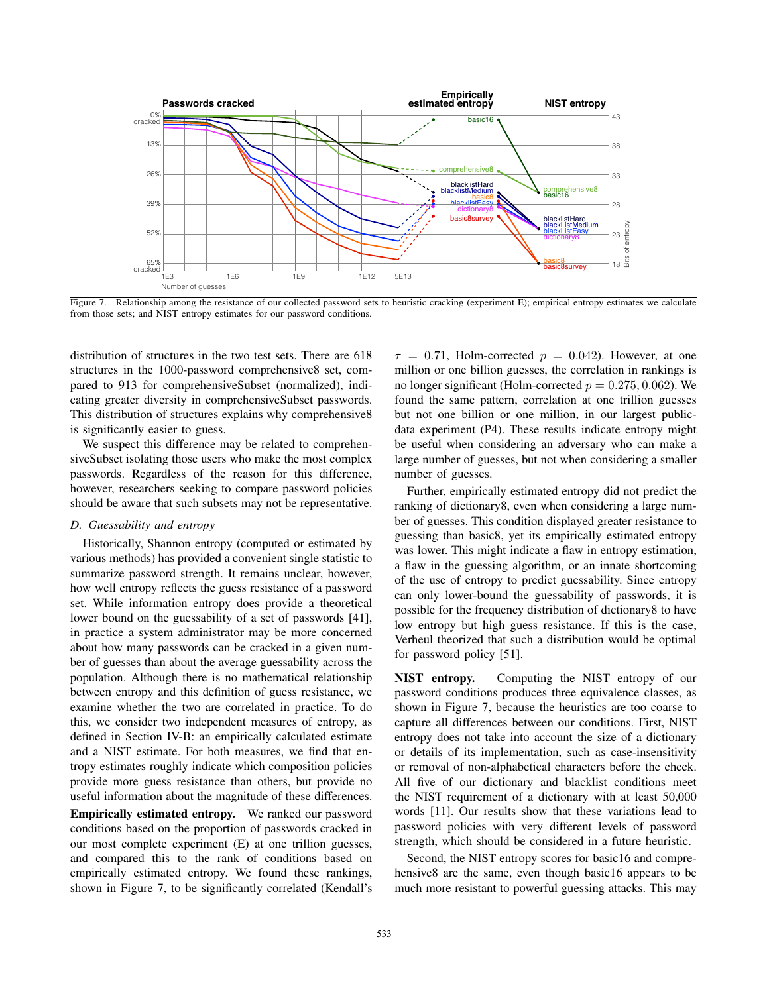

Figure 7. Relationship among the resistance of our collected password sets to heuristic cracking (experiment E); empirical entropy estimates we calculate from those sets; and NIST entropy estimates for our password conditions.

distribution of structures in the two test sets. There are 618 structures in the 1000-password comprehensive8 set, compared to 913 for comprehensiveSubset (normalized), indicating greater diversity in comprehensiveSubset passwords. This distribution of structures explains why comprehensive8 is significantly easier to guess.

We suspect this difference may be related to comprehensiveSubset isolating those users who make the most complex passwords. Regardless of the reason for this difference, however, researchers seeking to compare password policies should be aware that such subsets may not be representative.

#### *D. Guessability and entropy*

Historically, Shannon entropy (computed or estimated by various methods) has provided a convenient single statistic to summarize password strength. It remains unclear, however, how well entropy reflects the guess resistance of a password set. While information entropy does provide a theoretical lower bound on the guessability of a set of passwords [41], in practice a system administrator may be more concerned about how many passwords can be cracked in a given number of guesses than about the average guessability across the population. Although there is no mathematical relationship between entropy and this definition of guess resistance, we examine whether the two are correlated in practice. To do this, we consider two independent measures of entropy, as defined in Section IV-B: an empirically calculated estimate and a NIST estimate. For both measures, we find that entropy estimates roughly indicate which composition policies provide more guess resistance than others, but provide no useful information about the magnitude of these differences.

Empirically estimated entropy. We ranked our password conditions based on the proportion of passwords cracked in our most complete experiment (E) at one trillion guesses, and compared this to the rank of conditions based on empirically estimated entropy. We found these rankings, shown in Figure 7, to be significantly correlated (Kendall's  $\tau = 0.71$ , Holm-corrected  $p = 0.042$ ). However, at one million or one billion guesses, the correlation in rankings is no longer significant (Holm-corrected  $p = 0.275, 0.062$ ). We found the same pattern, correlation at one trillion guesses but not one billion or one million, in our largest publicdata experiment (P4). These results indicate entropy might be useful when considering an adversary who can make a large number of guesses, but not when considering a smaller number of guesses.

Further, empirically estimated entropy did not predict the ranking of dictionary8, even when considering a large number of guesses. This condition displayed greater resistance to guessing than basic8, yet its empirically estimated entropy was lower. This might indicate a flaw in entropy estimation, a flaw in the guessing algorithm, or an innate shortcoming of the use of entropy to predict guessability. Since entropy can only lower-bound the guessability of passwords, it is possible for the frequency distribution of dictionary8 to have low entropy but high guess resistance. If this is the case, Verheul theorized that such a distribution would be optimal for password policy [51].

NIST entropy. Computing the NIST entropy of our password conditions produces three equivalence classes, as shown in Figure 7, because the heuristics are too coarse to capture all differences between our conditions. First, NIST entropy does not take into account the size of a dictionary or details of its implementation, such as case-insensitivity or removal of non-alphabetical characters before the check. All five of our dictionary and blacklist conditions meet the NIST requirement of a dictionary with at least 50,000 words [11]. Our results show that these variations lead to password policies with very different levels of password strength, which should be considered in a future heuristic.

Second, the NIST entropy scores for basic16 and comprehensive8 are the same, even though basic16 appears to be much more resistant to powerful guessing attacks. This may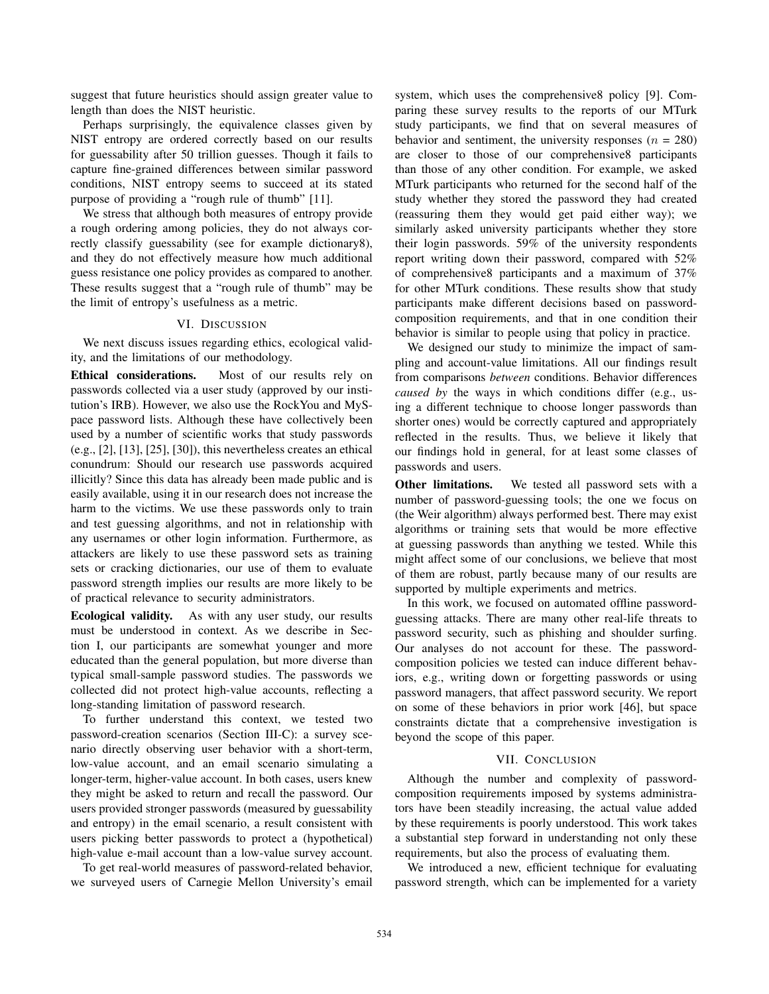suggest that future heuristics should assign greater value to length than does the NIST heuristic.

Perhaps surprisingly, the equivalence classes given by NIST entropy are ordered correctly based on our results for guessability after 50 trillion guesses. Though it fails to capture fine-grained differences between similar password conditions, NIST entropy seems to succeed at its stated purpose of providing a "rough rule of thumb" [11].

We stress that although both measures of entropy provide a rough ordering among policies, they do not always correctly classify guessability (see for example dictionary8), and they do not effectively measure how much additional guess resistance one policy provides as compared to another. These results suggest that a "rough rule of thumb" may be the limit of entropy's usefulness as a metric.

# VI. DISCUSSION

We next discuss issues regarding ethics, ecological validity, and the limitations of our methodology.

Ethical considerations. Most of our results rely on passwords collected via a user study (approved by our institution's IRB). However, we also use the RockYou and MySpace password lists. Although these have collectively been used by a number of scientific works that study passwords (e.g., [2], [13], [25], [30]), this nevertheless creates an ethical conundrum: Should our research use passwords acquired illicitly? Since this data has already been made public and is easily available, using it in our research does not increase the harm to the victims. We use these passwords only to train and test guessing algorithms, and not in relationship with any usernames or other login information. Furthermore, as attackers are likely to use these password sets as training sets or cracking dictionaries, our use of them to evaluate password strength implies our results are more likely to be of practical relevance to security administrators.

Ecological validity. As with any user study, our results must be understood in context. As we describe in Section I, our participants are somewhat younger and more educated than the general population, but more diverse than typical small-sample password studies. The passwords we collected did not protect high-value accounts, reflecting a long-standing limitation of password research.

To further understand this context, we tested two password-creation scenarios (Section III-C): a survey scenario directly observing user behavior with a short-term, low-value account, and an email scenario simulating a longer-term, higher-value account. In both cases, users knew they might be asked to return and recall the password. Our users provided stronger passwords (measured by guessability and entropy) in the email scenario, a result consistent with users picking better passwords to protect a (hypothetical) high-value e-mail account than a low-value survey account.

To get real-world measures of password-related behavior, we surveyed users of Carnegie Mellon University's email system, which uses the comprehensive8 policy [9]. Comparing these survey results to the reports of our MTurk study participants, we find that on several measures of behavior and sentiment, the university responses  $(n = 280)$ are closer to those of our comprehensive8 participants than those of any other condition. For example, we asked MTurk participants who returned for the second half of the study whether they stored the password they had created (reassuring them they would get paid either way); we similarly asked university participants whether they store their login passwords. 59% of the university respondents report writing down their password, compared with 52% of comprehensive8 participants and a maximum of 37% for other MTurk conditions. These results show that study participants make different decisions based on passwordcomposition requirements, and that in one condition their behavior is similar to people using that policy in practice.

We designed our study to minimize the impact of sampling and account-value limitations. All our findings result from comparisons *between* conditions. Behavior differences *caused by* the ways in which conditions differ (e.g., using a different technique to choose longer passwords than shorter ones) would be correctly captured and appropriately reflected in the results. Thus, we believe it likely that our findings hold in general, for at least some classes of passwords and users.

Other limitations. We tested all password sets with a number of password-guessing tools; the one we focus on (the Weir algorithm) always performed best. There may exist algorithms or training sets that would be more effective at guessing passwords than anything we tested. While this might affect some of our conclusions, we believe that most of them are robust, partly because many of our results are supported by multiple experiments and metrics.

In this work, we focused on automated offline passwordguessing attacks. There are many other real-life threats to password security, such as phishing and shoulder surfing. Our analyses do not account for these. The passwordcomposition policies we tested can induce different behaviors, e.g., writing down or forgetting passwords or using password managers, that affect password security. We report on some of these behaviors in prior work [46], but space constraints dictate that a comprehensive investigation is beyond the scope of this paper.

## VII. CONCLUSION

Although the number and complexity of passwordcomposition requirements imposed by systems administrators have been steadily increasing, the actual value added by these requirements is poorly understood. This work takes a substantial step forward in understanding not only these requirements, but also the process of evaluating them.

We introduced a new, efficient technique for evaluating password strength, which can be implemented for a variety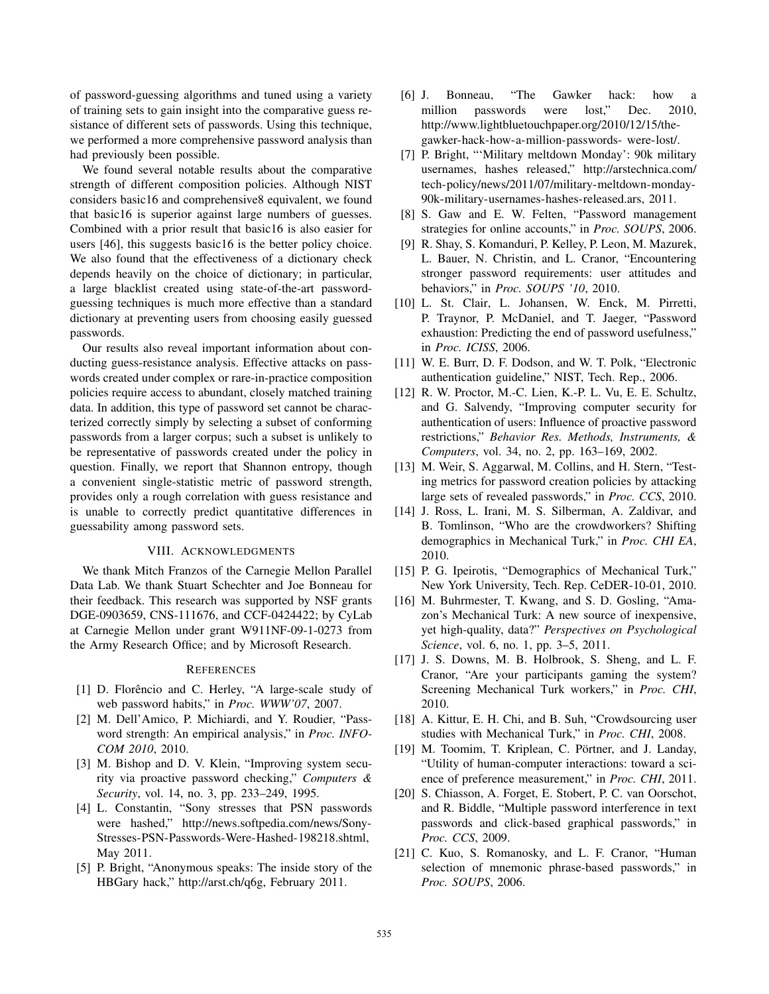of password-guessing algorithms and tuned using a variety of training sets to gain insight into the comparative guess resistance of different sets of passwords. Using this technique, we performed a more comprehensive password analysis than had previously been possible.

We found several notable results about the comparative strength of different composition policies. Although NIST considers basic16 and comprehensive8 equivalent, we found that basic16 is superior against large numbers of guesses. Combined with a prior result that basic16 is also easier for users [46], this suggests basic16 is the better policy choice. We also found that the effectiveness of a dictionary check depends heavily on the choice of dictionary; in particular, a large blacklist created using state-of-the-art passwordguessing techniques is much more effective than a standard dictionary at preventing users from choosing easily guessed passwords.

Our results also reveal important information about conducting guess-resistance analysis. Effective attacks on passwords created under complex or rare-in-practice composition policies require access to abundant, closely matched training data. In addition, this type of password set cannot be characterized correctly simply by selecting a subset of conforming passwords from a larger corpus; such a subset is unlikely to be representative of passwords created under the policy in question. Finally, we report that Shannon entropy, though a convenient single-statistic metric of password strength, provides only a rough correlation with guess resistance and is unable to correctly predict quantitative differences in guessability among password sets.

## VIII. ACKNOWLEDGMENTS

We thank Mitch Franzos of the Carnegie Mellon Parallel Data Lab. We thank Stuart Schechter and Joe Bonneau for their feedback. This research was supported by NSF grants DGE-0903659, CNS-111676, and CCF-0424422; by CyLab at Carnegie Mellon under grant W911NF-09-1-0273 from the Army Research Office; and by Microsoft Research.

# **REFERENCES**

- [1] D. Florêncio and C. Herley, "A large-scale study of web password habits," in *Proc. WWW'07*, 2007.
- [2] M. Dell'Amico, P. Michiardi, and Y. Roudier, "Password strength: An empirical analysis," in *Proc. INFO-COM 2010*, 2010.
- [3] M. Bishop and D. V. Klein, "Improving system security via proactive password checking," *Computers & Security*, vol. 14, no. 3, pp. 233–249, 1995.
- [4] L. Constantin, "Sony stresses that PSN passwords were hashed," http://news.softpedia.com/news/Sony-Stresses-PSN-Passwords-Were-Hashed-198218.shtml, May 2011.
- [5] P. Bright, "Anonymous speaks: The inside story of the HBGary hack," http://arst.ch/q6g, February 2011.
- [6] J. Bonneau, "The Gawker hack: how a million passwords were lost," Dec. 2010, http://www.lightbluetouchpaper.org/2010/12/15/thegawker-hack-how-a-million-passwords- were-lost/.
- [7] P. Bright, "'Military meltdown Monday': 90k military usernames, hashes released," http://arstechnica.com/ tech-policy/news/2011/07/military-meltdown-monday-90k-military-usernames-hashes-released.ars, 2011.
- [8] S. Gaw and E. W. Felten, "Password management strategies for online accounts," in *Proc. SOUPS*, 2006.
- [9] R. Shay, S. Komanduri, P. Kelley, P. Leon, M. Mazurek, L. Bauer, N. Christin, and L. Cranor, "Encountering stronger password requirements: user attitudes and behaviors," in *Proc. SOUPS '10*, 2010.
- [10] L. St. Clair, L. Johansen, W. Enck, M. Pirretti, P. Traynor, P. McDaniel, and T. Jaeger, "Password exhaustion: Predicting the end of password usefulness," in *Proc. ICISS*, 2006.
- [11] W. E. Burr, D. F. Dodson, and W. T. Polk, "Electronic authentication guideline," NIST, Tech. Rep., 2006.
- [12] R. W. Proctor, M.-C. Lien, K.-P. L. Vu, E. E. Schultz, and G. Salvendy, "Improving computer security for authentication of users: Influence of proactive password restrictions," *Behavior Res. Methods, Instruments, & Computers*, vol. 34, no. 2, pp. 163–169, 2002.
- [13] M. Weir, S. Aggarwal, M. Collins, and H. Stern, "Testing metrics for password creation policies by attacking large sets of revealed passwords," in *Proc. CCS*, 2010.
- [14] J. Ross, L. Irani, M. S. Silberman, A. Zaldivar, and B. Tomlinson, "Who are the crowdworkers? Shifting demographics in Mechanical Turk," in *Proc. CHI EA*, 2010.
- [15] P. G. Ipeirotis, "Demographics of Mechanical Turk," New York University, Tech. Rep. CeDER-10-01, 2010.
- [16] M. Buhrmester, T. Kwang, and S. D. Gosling, "Amazon's Mechanical Turk: A new source of inexpensive, yet high-quality, data?" *Perspectives on Psychological Science*, vol. 6, no. 1, pp. 3–5, 2011.
- [17] J. S. Downs, M. B. Holbrook, S. Sheng, and L. F. Cranor, "Are your participants gaming the system? Screening Mechanical Turk workers," in *Proc. CHI*, 2010.
- [18] A. Kittur, E. H. Chi, and B. Suh, "Crowdsourcing user studies with Mechanical Turk," in *Proc. CHI*, 2008.
- [19] M. Toomim, T. Kriplean, C. Pörtner, and J. Landay, "Utility of human-computer interactions: toward a science of preference measurement," in *Proc. CHI*, 2011.
- [20] S. Chiasson, A. Forget, E. Stobert, P. C. van Oorschot, and R. Biddle, "Multiple password interference in text passwords and click-based graphical passwords," in *Proc. CCS*, 2009.
- [21] C. Kuo, S. Romanosky, and L. F. Cranor, "Human selection of mnemonic phrase-based passwords," in *Proc. SOUPS*, 2006.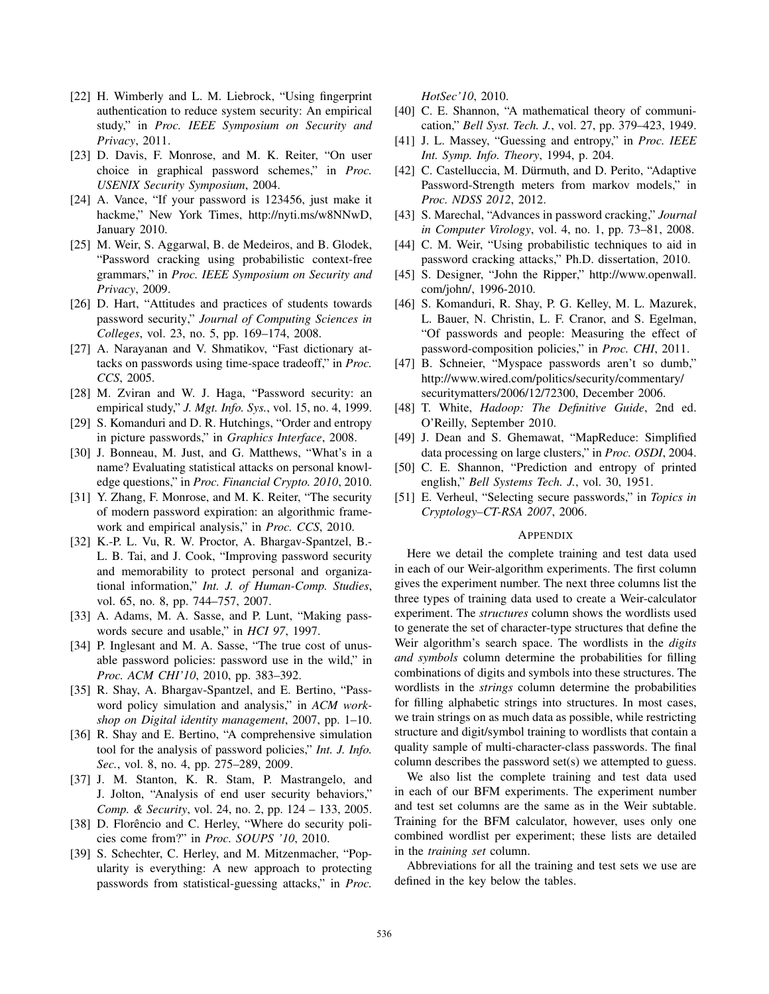- [22] H. Wimberly and L. M. Liebrock, "Using fingerprint" authentication to reduce system security: An empirical study," in *Proc. IEEE Symposium on Security and Privacy*, 2011.
- [23] D. Davis, F. Monrose, and M. K. Reiter, "On user choice in graphical password schemes," in *Proc. USENIX Security Symposium*, 2004.
- [24] A. Vance, "If your password is 123456, just make it hackme," New York Times, http://nyti.ms/w8NNwD, January 2010.
- [25] M. Weir, S. Aggarwal, B. de Medeiros, and B. Glodek, "Password cracking using probabilistic context-free grammars," in *Proc. IEEE Symposium on Security and Privacy*, 2009.
- [26] D. Hart, "Attitudes and practices of students towards password security," *Journal of Computing Sciences in Colleges*, vol. 23, no. 5, pp. 169–174, 2008.
- [27] A. Narayanan and V. Shmatikov, "Fast dictionary attacks on passwords using time-space tradeoff," in *Proc. CCS*, 2005.
- [28] M. Zviran and W. J. Haga, "Password security: an empirical study," *J. Mgt. Info. Sys.*, vol. 15, no. 4, 1999.
- [29] S. Komanduri and D. R. Hutchings, "Order and entropy" in picture passwords," in *Graphics Interface*, 2008.
- [30] J. Bonneau, M. Just, and G. Matthews, "What's in a name? Evaluating statistical attacks on personal knowledge questions," in *Proc. Financial Crypto. 2010*, 2010.
- [31] Y. Zhang, F. Monrose, and M. K. Reiter, "The security of modern password expiration: an algorithmic framework and empirical analysis," in *Proc. CCS*, 2010.
- [32] K.-P. L. Vu, R. W. Proctor, A. Bhargav-Spantzel, B.-L. B. Tai, and J. Cook, "Improving password security and memorability to protect personal and organizational information," *Int. J. of Human-Comp. Studies*, vol. 65, no. 8, pp. 744–757, 2007.
- [33] A. Adams, M. A. Sasse, and P. Lunt, "Making passwords secure and usable," in *HCI 97*, 1997.
- [34] P. Inglesant and M. A. Sasse, "The true cost of unusable password policies: password use in the wild," in *Proc. ACM CHI'10*, 2010, pp. 383–392.
- [35] R. Shay, A. Bhargav-Spantzel, and E. Bertino, "Password policy simulation and analysis," in *ACM workshop on Digital identity management*, 2007, pp. 1–10.
- [36] R. Shay and E. Bertino, "A comprehensive simulation tool for the analysis of password policies," *Int. J. Info. Sec.*, vol. 8, no. 4, pp. 275–289, 2009.
- [37] J. M. Stanton, K. R. Stam, P. Mastrangelo, and J. Jolton, "Analysis of end user security behaviors," *Comp. & Security*, vol. 24, no. 2, pp. 124 – 133, 2005.
- [38] D. Florêncio and C. Herley, "Where do security policies come from?" in *Proc. SOUPS '10*, 2010.
- [39] S. Schechter, C. Herley, and M. Mitzenmacher, "Popularity is everything: A new approach to protecting passwords from statistical-guessing attacks," in *Proc.*

*HotSec'10*, 2010.

- [40] C. E. Shannon, "A mathematical theory of communication," *Bell Syst. Tech. J.*, vol. 27, pp. 379–423, 1949.
- [41] J. L. Massey, "Guessing and entropy," in *Proc. IEEE Int. Symp. Info. Theory*, 1994, p. 204.
- [42] C. Castelluccia, M. Dürmuth, and D. Perito, "Adaptive Password-Strength meters from markov models," in *Proc. NDSS 2012*, 2012.
- [43] S. Marechal, "Advances in password cracking," *Journal in Computer Virology*, vol. 4, no. 1, pp. 73–81, 2008.
- [44] C. M. Weir, "Using probabilistic techniques to aid in password cracking attacks," Ph.D. dissertation, 2010.
- [45] S. Designer, "John the Ripper," http://www.openwall. com/john/, 1996-2010.
- [46] S. Komanduri, R. Shay, P. G. Kelley, M. L. Mazurek, L. Bauer, N. Christin, L. F. Cranor, and S. Egelman, "Of passwords and people: Measuring the effect of password-composition policies," in *Proc. CHI*, 2011.
- [47] B. Schneier, "Myspace passwords aren't so dumb," http://www.wired.com/politics/security/commentary/ securitymatters/2006/12/72300, December 2006.
- [48] T. White, *Hadoop: The Definitive Guide*, 2nd ed. O'Reilly, September 2010.
- [49] J. Dean and S. Ghemawat, "MapReduce: Simplified data processing on large clusters," in *Proc. OSDI*, 2004.
- [50] C. E. Shannon, "Prediction and entropy of printed english," *Bell Systems Tech. J.*, vol. 30, 1951.
- [51] E. Verheul, "Selecting secure passwords," in *Topics in Cryptology–CT-RSA 2007*, 2006.

### APPENDIX

Here we detail the complete training and test data used in each of our Weir-algorithm experiments. The first column gives the experiment number. The next three columns list the three types of training data used to create a Weir-calculator experiment. The *structures* column shows the wordlists used to generate the set of character-type structures that define the Weir algorithm's search space. The wordlists in the *digits and symbols* column determine the probabilities for filling combinations of digits and symbols into these structures. The wordlists in the *strings* column determine the probabilities for filling alphabetic strings into structures. In most cases, we train strings on as much data as possible, while restricting structure and digit/symbol training to wordlists that contain a quality sample of multi-character-class passwords. The final column describes the password set(s) we attempted to guess.

We also list the complete training and test data used in each of our BFM experiments. The experiment number and test set columns are the same as in the Weir subtable. Training for the BFM calculator, however, uses only one combined wordlist per experiment; these lists are detailed in the *training set* column.

Abbreviations for all the training and test sets we use are defined in the key below the tables.